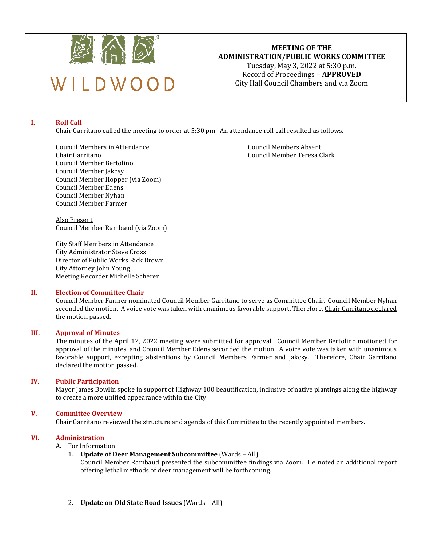

## **MEETING OF THE ADMINISTRATION/PUBLIC WORKS COMMITTEE**  Tuesday, May 3, 2022 at 5:30 p.m.

Record of Proceedings – **APPROVED** City Hall Council Chambers and via Zoom

## **I. Roll Call**

Chair Garritano called the meeting to order at 5:30 pm. An attendance roll call resulted as follows.

Council Members in Attendance<br>
Chair Garritano<br>
Council Member Teresa C Council Member Bertolino Council Member Jakcsy Council Member Hopper (via Zoom) Council Member Edens Council Member Nyhan Council Member Farmer

Council Member Teresa Clark

Also Present Council Member Rambaud (via Zoom)

City Staff Members in Attendance City Administrator Steve Cross Director of Public Works Rick Brown City Attorney John Young Meeting Recorder Michelle Scherer

## **II. Election of Committee Chair**

Council Member Farmer nominated Council Member Garritano to serve as Committee Chair. Council Member Nyhan seconded the motion. A voice vote was taken with unanimous favorable support. Therefore, Chair Garritano declared the motion passed.

## **III. Approval of Minutes**

The minutes of the April 12, 2022 meeting were submitted for approval. Council Member Bertolino motioned for approval of the minutes, and Council Member Edens seconded the motion. A voice vote was taken with unanimous favorable support, excepting abstentions by Council Members Farmer and Jakcsy. Therefore, Chair Garritano declared the motion passed.

## **IV. Public Participation**

Mayor James Bowlin spoke in support of Highway 100 beautification, inclusive of native plantings along the highway to create a more unified appearance within the City.

## **V. Committee Overview**

Chair Garritano reviewed the structure and agenda of this Committee to the recently appointed members.

## **VI. Administration**

# A. For Information<br>1. **Update of D**

1. **Update of Deer Management Subcommittee** (Wards – All)

Council Member Rambaud presented the subcommittee findings via Zoom. He noted an additional report offering lethal methods of deer management will be forthcoming.

2. **Update on Old State Road Issues** (Wards – All)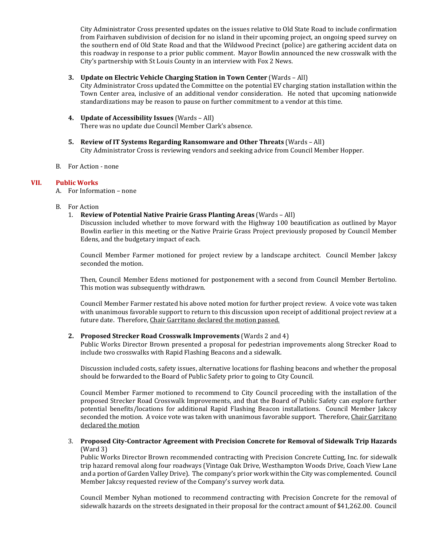City Administrator Cross presented updates on the issues relative to Old State Road to include confirmation from Fairhaven subdivision of decision for no island in their upcoming project, an ongoing speed survey on the southern end of Old State Road and that the Wildwood Precinct (police) are gathering accident data on this roadway in response to a prior public comment. Mayor Bowlin announced the new crosswalk with the City's partnership with St Louis County in an interview with Fox 2 News.

## **3. Update on Electric Vehicle Charging Station in Town Center** (Wards – All)

City Administrator Cross updated the Committee on the potential EV charging station installation within the Town Center area, inclusive of an additional vendor consideration. He noted that upcoming nationwide standardizations may be reason to pause on further commitment to a vendor at this time.

- **4. Update of Accessibility Issues** (Wards All) There was no update due Council Member Clark's absence.
- **5. Review of IT Systems Regarding Ransomware and Other Threats** (Wards All) City Administrator Cross is reviewing vendors and seeking advice from Council Member Hopper.
- B. For Action none

## **VII. Public Works**

A. For Information – none

- B. For Action
	- 1. **Review of Potential Native Prairie Grass Planting Areas** (Wards All)

Discussion included whether to move forward with the Highway 100 beautification as outlined by Mayor Bowlin earlier in this meeting or the Native Prairie Grass Project previously proposed by Council Member Edens, and the budgetary impact of each.

Council Member Farmer motioned for project review by a landscape architect. Council Member Jakcsy seconded the motion.

Then, Council Member Edens motioned for postponement with a second from Council Member Bertolino. This motion was subsequently withdrawn.

Council Member Farmer restated his above noted motion for further project review. A voice vote was taken with unanimous favorable support to return to this discussion upon receipt of additional project review at a future date. Therefore, Chair Garritano declared the motion passed.

## **2. Proposed Strecker Road Crosswalk Improvements** (Wards 2 and 4)

Public Works Director Brown presented a proposal for pedestrian improvements along Strecker Road to include two crosswalks with Rapid Flashing Beacons and a sidewalk.

Discussion included costs, safety issues, alternative locations for flashing beacons and whether the proposal should be forwarded to the Board of Public Safety prior to going to City Council.

Council Member Farmer motioned to recommend to City Council proceeding with the installation of the proposed Strecker Road Crosswalk Improvements, and that the Board of Public Safety can explore further potential benefits/locations for additional Rapid Flashing Beacon installations. Council Member Jakcsy seconded the motion. A voice vote was taken with unanimous favorable support. Therefore, Chair Garritano declared the motion

## 3. **Proposed City-Contractor Agreement with Precision Concrete for Removal of Sidewalk Trip Hazards** (Ward 3)

Public Works Director Brown recommended contracting with Precision Concrete Cutting, Inc. for sidewalk trip hazard removal along four roadways (Vintage Oak Drive, Westhampton Woods Drive, Coach View Lane and a portion of Garden Valley Drive). The company's prior work within the City was complemented. Council Member Jakcsy requested review of the Company's survey work data.

Council Member Nyhan motioned to recommend contracting with Precision Concrete for the removal of sidewalk hazards on the streets designated in their proposal for the contract amount of \$41,262.00. Council